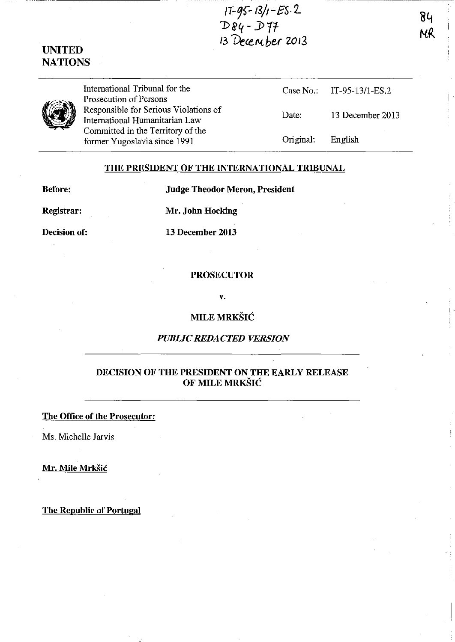

# UNITED NATIONS



International Tribunal for the Prosecution of Persons Responsible for Serious Violations of International Humanitarian Law Committed in the Territory of the former Yugoslavia since 1991

| Case No.  | IT-95-13/1-ES.2  |
|-----------|------------------|
| Date:     | 13 December 2013 |
| Original: | English          |

84

MR

#### THE PRESIDENT OF THE INTERNATIONAL TRIBUNAL

Before: Judge Theodor Meron, President

Registrar: Mr. John Hocking

Decision of: 13 December 2013

## PROSECUTOR

v.

**MILE MRKŠIĆ** 

## *PUBLIC REDACTED VERSION*

# DECISION OF THE PRESIDENT ON THE EARLY RELEASE OF MILE MRKSIC

## The Office of the Prosecutor:

Ms. Michelle Jarvis

Mr. Mile Mrkšić

The Republic of Portugal

: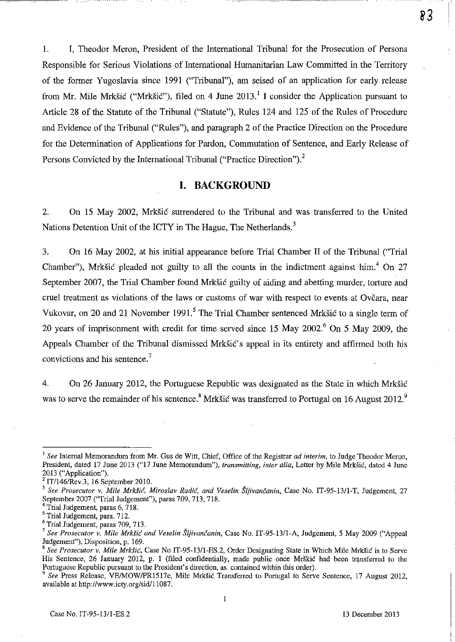1. I, Theodor Meron, President of the International Tribunal for the Prosecution of Persons Responsible for Serious Violations of International Humanitarian Law Committed in the Territory of the former Yugoslavia since 1991 ("Tribunal"), am seised of an application for early release from Mr. Mile Mrkšić ("Mrkšić"), filed on 4 June 2013.<sup>1</sup> I consider the Application pursuant to Article 28 of the Statute of the Tribunal ("Statute"), Rules 124 and 125 of the Rules of Procedure and Evidence of the Tribunal ("Rules"), and paragraph 2 of the Practice Direction on the Procedure for the Determination of Applications for Pardon, Commutation of Sentence, and Early Release of Persons Convicted by the International Tribunal ("Practice Direction").<sup>2</sup>

-------------~~--------

 $83$ 

## **I. BACKGROUND**

2. On 15 May 2002, Mrkšić surrendered to the Tribunal and was transferred to the United Nations Detention Unit of the ICTY in The Hague, The Netherlands.<sup>3</sup>

3. On 16 May 2002, at his initial appearance before Trial Chamber II of the Tribunal ("Trial Chamber"), Mrkšić pleaded not guilty to all the counts in the indictment against him.<sup>4</sup> On 27 September 2007, the Trial Chamber found Mrkšić guilty of aiding and abetting murder, torture and cruel treatment as violations of the laws or customs of war with respect to events at Ovčara, near Vukovar, on 20 and 21 November 1991.<sup>5</sup> The Trial Chamber sentenced Mrkšić to a single term of 20 years of imprisonment with credit for time served since 15 May 2002.<sup>6</sup> On 5 May 2009, the Appeals Chamber of the Tribunal dismissed Mrkšić's appeal in its entirety and affirmed both his convictions and his sentence.<sup>7</sup>

4. On 26 January 2012, the Portuguese Republic was designated as the State in which Mrkšić was to serve the remainder of his sentence.<sup>8</sup> Mrkšić was transferred to Portugal on 16 August 2012.<sup>9</sup>

<sup>&</sup>lt;sup>1</sup> See Internal Memorandum from Mr. Gus de Witt, Chief, Office of the Registrar *ad interim*, to Judge Theodor Meron, President, dated 17 June 2013 ("17 June Memorandum"), *transmitting, inter alia,* Letter by Mile Mrksic, dated 4 June 2013 ("Application").

 $2$  IT/146/Rev.3, 16 September 2010.

<sup>&</sup>lt;sup>3</sup> See Prosecutor v. Mile Mrkšić, Miroslav Radić, and Veselin Šljivančanin, Case No. IT-95-13/1-T, Judgement, 27 September 2007 ("Trial Judgement"), paras 709, 713, 718.

Trial Judgement, paras 6, 718.

<sup>5</sup> Trial Judgement, para. 712.

<sup>6</sup> Trial Judgement, paras 709, 713.

<sup>&</sup>lt;sup>7</sup> See Prosecutor v. Mile Mrkšić and Veselin Šljivančanin, Case No. IT-95-13/1-A, Judgement, 5 May 2009 ("Appeal Judgement"), Disposition, p. 169.

<sup>8</sup>*See Prosecutor v. Mile Mrksic,* Case No IT-95-13/l-ES.2, Order Designating State in Which Mile Mrksic is to Serve His Sentence, 26 January 2012, p. 1 (filed confidentially, made public once Mrskic had been transferred to the Portuguese Republic pursuant to the President's direction, as contained within this order).

*<sup>9</sup> See* Press Release, VEIMOWIPRI517e, Mile Mrksic Transferred to Portugal to Serve Sentence, 17 August 2012, available at http://www.icty.org/sid/11087.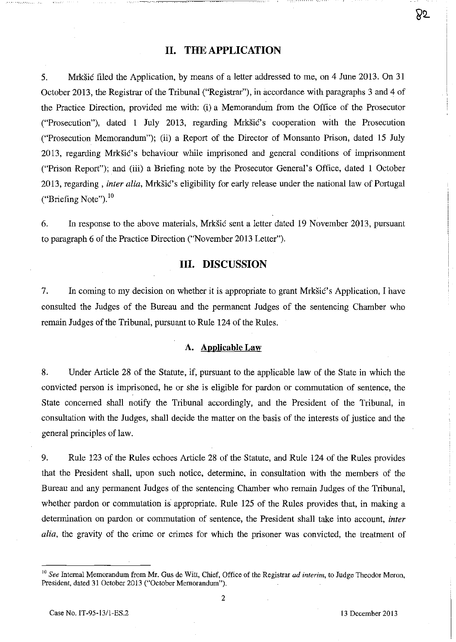## **11. THE APPLICATION**

5. Mrksic filed the Application, by means of a letter addressed to me, on 4 June 2013. On 31 October 2013, the Registrar of the Tribunal ("Registrar"), in accordance with paragraphs 3 and 4 of the Practice Direction, provided me with: (i) a Memorandum from the Office of the Prosecutor ("Prosecution"), dated 1 July 2013, regarding Mrkšić's cooperation with the Prosecution ("Prosecution Memorandum"); (ii) a Report of the Director of Monsanto Prison, dated 15 July 2013, regarding Mrkšić's behaviour while imprisoned and general conditions of imprisonment ("Prison Report"); and (iii) a Briefing note by the Prosecutor General's Office, dated 1 October 2013, regarding, *inter alia*, Mrkšić's eligibility for early release under the national law of Portugal ("Briefing Note").<sup>10</sup>

6. In response to the above materials, Mrksic sent a letter dated 19 November 2013, pursuant to paragraph 6 of the Practice Direction ("November 2013 Letter").

# **Ill. DISCUSSION**

7. In coming to my decision on whether it is appropriate to grant Mrksic's Application, I have consulted the Judges of the Bureau and the permanent Judges of the sentencing Chamber who remain Judges of the Tribunal, pursuant to Rule 124 of the Rules.

## **A. Applicable Law**

8. Under Article 28 of the Statute, if, pursuant to the applicable law of the State in which the convicted person is imprisoned, he or she is eligible for pardon or commutation of sentence, the State concerned shall notify the Tribunal accordingly, and the President of the Tribunal, in consultation with the Judges, shall decide the matter on the basis of the interests of justice and the general principles of law.

9. Rule 123 of the Rules echoes Article 28 of the Statute, and Rule 124 of the Rules provides that the President shall, upon such notice, determine, in consultation with the members of the Bureau and any permanent Judges of the sentencing Chamber who remain Judges of the Tribunal, whether pardon or commutation is appropriate. Rule 125 of the Rules provides that, in making a determination on pardon or commutation of sentence, the President shall take into account, *inter alia,* the gravity of the crime or crimes for which the prisoner was convicted, the treatment of

85

<sup>10</sup>*See* Internal Memorandum from Mr. Gus de Wilt, Chief, Office of the Registrar *ad interim,* to Judge Theodor Meron, President, dated 31 October 2013 ("October Memorandum").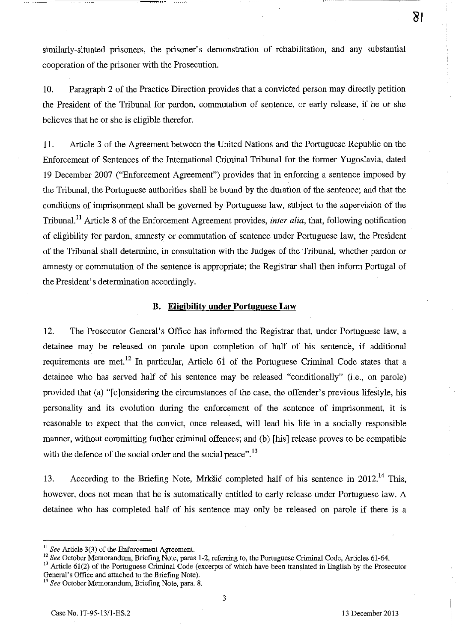similarly-situated prisoners, the prisoner's demonstration of rehabilitation, and any substantial cooperation of the prisoner with the Prosecution,

10, Paragraph 2 of the Practice Direction provides that a convicted person may directly petition the President of the Tribunal for pardon, commutation of sentence, or early release, if he or she believes that he or she is eligible therefor.

11. Article 3 of the Agreement between the United Nations and the Portuguese Republic on the Enforcement of Sentences of the International Criminal Tribunal for the former Yugoslavia, dated 19 December 2007 ("Enforcement Agreement") provides that in enforcing a sentence imposed by the Tribunal, the Portuguese authorities shall be bound by the duration of the sentence; and that the conditions of imprisonment shall be governed by Portuguese law, subject to the supervision of the Tribunal. II Article 8 of the Enforcement Agreement provides, *inter alia,* that, following notification of eligibility for pardon, anmesty or commutation of sentence under Portuguese law, the President of the Tribunal shall determine, in consultation with the Judges of the Tribunal, whether pardon or anmesty or commutation of the sentence is appropriate; the Registrar shall then inform Portugal of the President's determination accordingly.

#### **B. Eligibility under Portuguese Law**

12. The Prosecutor General's Office has informed the Registrar that, under Portuguese law, a detainee may be released on parole upon completion of half of his sentence, if additional requirements are met.<sup>12</sup> In particular, Article 61 of the Portuguese Criminal Code states that a detainee who has served half of his sentence may be released "conditionally" (i.e., on parole) provided that (a) "[c]onsidering the circumstances of the case, the offender's previous lifestyle, his personality and its evolution during the enforcement of the sentence of imprisonment, it is reasonable to expect that the convict, once released, will lead his life in a socially responsible manner, without committing further criminal offences; and (b) [his] release proves to be compatible with the defence of the social order and the social peace".<sup>13</sup>

13. According to the Briefing Note, Mrkšić completed half of his sentence in 2012.<sup>14</sup> This, however, does not mean that he is automatically entitled to early release under Portuguese law. A detainee who has completed half of his sentence may only be released on parole if there is a

<sup>&</sup>lt;sup>11</sup> See Article 3(3) of the Enforcement Agreement.

<sup>&</sup>lt;sup>12</sup> See October Memorandum, Briefing Note, paras 1-2, referring to, the Portuguese Criminal Code, Articles 61-64.

 $13$  Article 61(2) of the Portuguese Criminal Code (excerpts of which have been translated in English by the Prosecutor General's Office and attached to the Briefing Note).

<sup>14</sup>*See* October Memorandum, Briefing Note, para. 8.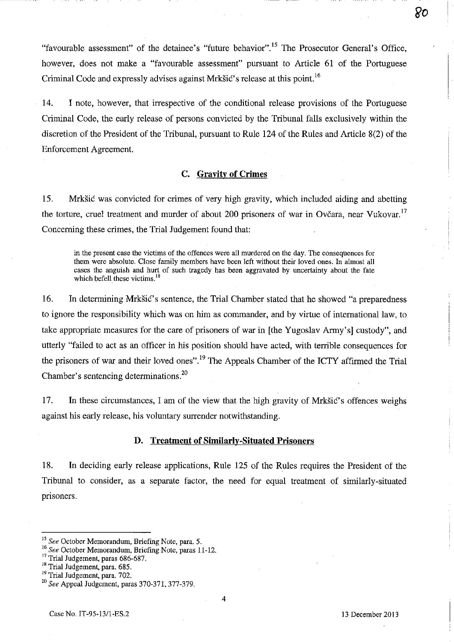"favourable assessment" of the detainee's "future behavior".15 The Prosecutor General's Office, however, does not make a "favourable assessment" pursuant to Article 61 of the Portuguese Criminal Code and expressly advises against Mrkšić's release at this point.  $16$ 

· .. -----------------

סא

14. I note, however, that irrespective of the conditional release provisions of the Portuguese Criminal Code, the early release of persons convicted by the Tribunal falls exclusively within the discretion of the President of the Tribunal, pursuant to Rule 124 of the Rules and Article 8(2) of the Enforcement Agreement.

## C. **Gravity of Crimes**

15. Mrkšić was convicted for crimes of very high gravity, which included aiding and abetting the torture, cruel treatment and murder of about 200 prisoners of war in Ovčara, near Vukovar.<sup>17</sup> Concerning these crimes, the Trial Judgement found that:

in the present case the victims of the offences were all murdered on the day. The consequences for them were absolute. Close family members have been left without their loved ones. In almost all cases the anguish and hurt of such tragedy has been aggravated by uncertainty about the fate which befell these victims.<sup>18</sup>

16. In determining Mrkšić's sentence, the Trial Chamber stated that he showed "a preparedness" to ignore the responsibility which was on him as commander, and by virtue of international law, to take appropriate measures for the care of prisoners of war in [the Yugoslav Army's) custody", and utterly "failed to act as an officer in his position should have acted, with terrible consequences for the prisoners of war and their loved ones".<sup>19</sup> The Appeals Chamber of the ICTY affirmed the Trial Chamber's sentencing determinations.<sup>20</sup>

17. In these circumstances, I am of the view that the high gravity of Mrksic's offences weighs against his early release, his voluntary surrender notwithstanding.

#### **D. Treatment of Similarly-Situated Prisoners**

18. In deciding early release applications, Rule 125 of the Rules requires the President of the Tribunal to consider, as a separate factor, the need for equal treatment of similarly-situated prisoners.

<sup>19</sup> Trial Judgement, para. 702.

*<sup>]5</sup> See* October Memorandum, Briefing Note, para. 5.

*<sup>16</sup> See* October Memorandum, Briefing Note, paras 11-12.

<sup>&</sup>lt;sup>17</sup> Trial Judgement, paras 686-687.

<sup>&</sup>lt;sup>18</sup> Trial Judgement, para. 685.

*<sup>20</sup> See* Appeal Judgement, paras 370-371, 377-379.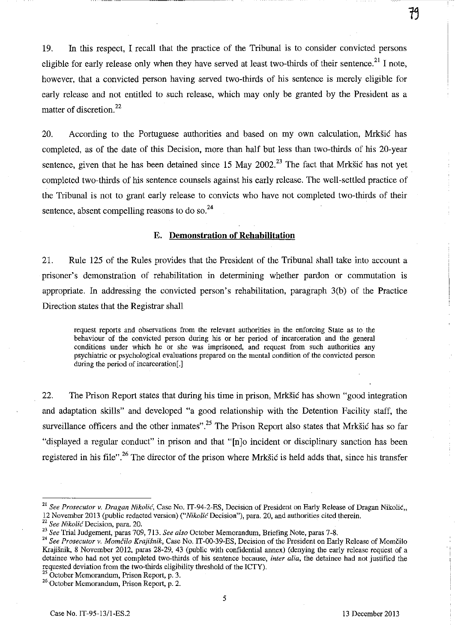19. In this respect, I recall that the practice of the Tribunal is to consider convicted persons eligible for early release only when they have served at least two-thirds of their sentence.<sup>21</sup> I note, however, that a convicted person having served two-thirds of his sentence is merely eligible for early release and not entitled to such release, which may only be granted by the President as a matter of discretion.<sup>22</sup>

20. According to the Portuguese authorities and based on my own calculation, Mrksic has completed, as of the date of this Decision, more than half but less than two-thirds of his 20-year sentence, given that he has been detained since 15 May 2002.<sup>23</sup> The fact that Mrkšić has not yet completed two-thirds of his sentence counsels against his early release. The well-settled practice of the Tribunal is not to grant early release to convicts who have not completed two-thirds of their sentence, absent compelling reasons to do so. $^{24}$ 

#### **E. Demonstration of Rehabilitation**

21. Rule 125 of the Rules provides that the President of the Tribunal shall take into account a prisoner's demonstration of rehabilitation in determining whether pardon or commutation is appropriate. In addressing the convicted person's rehabilitation, paragraph 3(b) of the Practice Direction states that the Registrar shall

request reports and observations from the relevant authorities in the enforcing State as to the **behaviour of the convicted person during his or her period of incarceration and the general conditions under which he or she was imprisoned, and request from such authorities any**  psychiatric or psychological evaluations prepared on the mental condition of the convicted person during the period of incarceration<sup>[1]</sup>

22. The Prison Report states that during his time in prison, Mrksic has shown "good integration and adaptation skills" and developed "a good relationship with the Detention Facility staff, the surveillance officers and the other inmates".<sup>25</sup> The Prison Report also states that Mrksic has so far "displayed a regular conduct" in prison and that "[n]o incident or disciplinary sanction has been registered in his file".<sup>26</sup> The director of the prison where Mrkšić is held adds that, since his transfer

<sup>22</sup>*See Nikolic* Decision, para. 20.

<sup>&</sup>lt;sup>21</sup> See Prosecutor v. *Dragan Nikolić*, Case No. IT-94-2-ES, Decision of President on Early Release of Dragan Nikolić.. 12 November 2013 (public redacted version) *('"Nikoli<'* Decision"), para. 20, and authorities cited therein.

*<sup>23</sup> See* Trial Judgement, paras 709, 713. *See also* October Memorandum, Briefing Note, paras 7-8.

<sup>&</sup>lt;sup>24</sup> See Prosecutor v. Momčilo Krajišnik, Case No. IT-00-39-ES, Decision of the President on Early Release of Momčilo Krajisnik, 8 November 2012, paras 28-29, 43 (public with confidential annex) (denying the early release request of a detainee who had not yet completed two-thirds of his sentence because, *inter alia,* the detainee had not justified the requested deviation from the two-thirds eligibility threshold of the ICTY).

<sup>&</sup>lt;sup>25</sup> October Memorandum, Prison Report, p. 3.

<sup>&</sup>lt;sup>26</sup> October Memorandum, Prison Report, p. 2.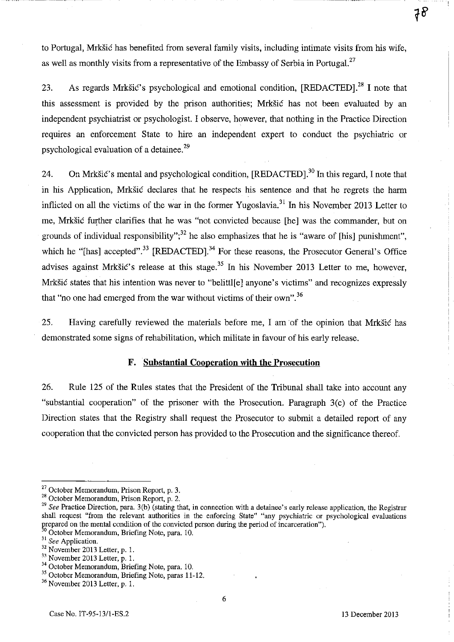to Portugal, Mrkšić has benefited from several family visits, including intimate visits from his wife, as well as monthly visits from a representative of the Embassy of Serbia in Portugal.<sup>27</sup>

23. As regards Mrkšić's psychological and emotional condition,  $[REDACTED]$ <sup>28</sup> I note that this assessment is provided by the prison authorities; Mrkšić has not been evaluated by an independent psychiatrist or psychologist. I observe, however, that nothing in the Practice Direction requires an enforcement State to hire an independent expert to conduct the psychiatric or psychological evaluation of a detainee.<sup>29</sup>

24. On Mrkšić's mental and psychological condition,  $[REDACTED]$ <sup>30</sup> In this regard, I note that in his Application, Mrkšić declares that he respects his sentence and that he regrets the harm inflicted on all the victims of the war in the former Yugoslavia.<sup>31</sup> In his November 2013 Letter to me, Mrkšić further clarifies that he was "not convicted because [he] was the commander, but on grounds of individual responsibility";<sup>32</sup> he also emphasizes that he is "aware of [his] punishment", which he "[has] accepted".<sup>33</sup> [REDACTED].<sup>34</sup> For these reasons, the Prosecutor General's Office advises against Mrkšić's release at this stage.<sup>35</sup> In his November 2013 Letter to me, however, Mrkšić states that his intention was never to "belittl[e] anyone's victims" and recognizes expressly that "no one had emerged from the war without victims of their own". 36

25. Having carefully reviewed the materials before me, I am of the opinion that Mrkšić has demonstrated some signs of rehabilitation, which militate in favour of his early release.

#### **F. Substantial Cooperation with the Prosecution**

26. Rule 125 of the Rules states that the President of the Tribunal shall take into account any "substantial cooperation" of the prisoner with the Prosecution. Paragraph 3(c) of the Practice Direction states that the Registry shall request the Prosecutor to submit a detailed report of any cooperation that the convicted person has provided to the Prosecution and the significance thereof.

 $27$  October Memorandum, Prison Report, p. 3.

<sup>28</sup> October Memorandum, Prison Report, p. 2.

<sup>&</sup>lt;sup>29</sup> See Practice Direction, para. 3(b) (stating that, in connection with a detainee's early release application, the Registrar shall request "from the relevant authorities in the enforcing State" "any psychiatric or psychological evaluations prepared on the mental condition of the convicted person during the period of incarceration").

 $\overline{0}$  October Memorandum, Briefing Note, para. 10.

<sup>31</sup>*See* Application.

<sup>32</sup> November 2013 Letter, p. 1.

<sup>33</sup> November 2013 Letter, p. 1.

<sup>&</sup>lt;sup>34</sup> October Memorandum, Briefing Note, para. 10.

<sup>&</sup>lt;sup>35</sup> October Memorandum, Briefing Note, paras 11-12.

 $36$  November 2013 Letter, p. 1.